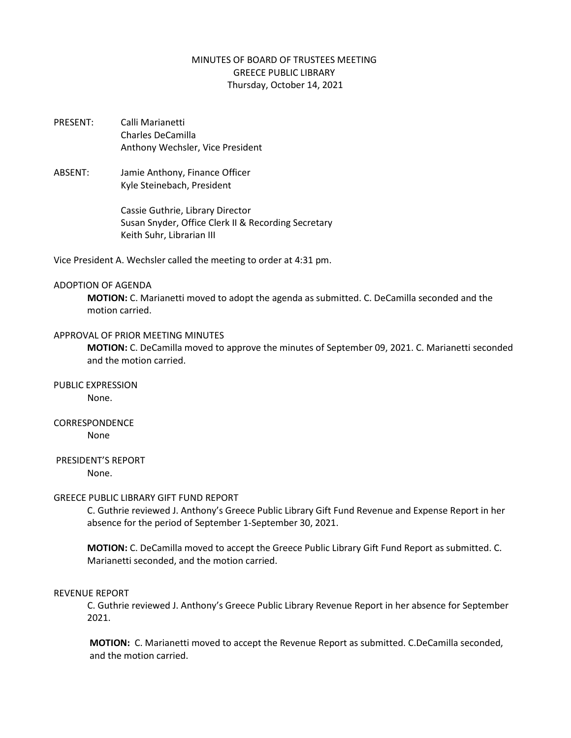# MINUTES OF BOARD OF TRUSTEES MEETING GREECE PUBLIC LIBRARY Thursday, October 14, 2021

- PRESENT: Calli Marianetti Charles DeCamilla Anthony Wechsler, Vice President
- ABSENT: Jamie Anthony, Finance Officer Kyle Steinebach, President

Cassie Guthrie, Library Director Susan Snyder, Office Clerk II & Recording Secretary Keith Suhr, Librarian III

Vice President A. Wechsler called the meeting to order at 4:31 pm.

### ADOPTION OF AGENDA

**MOTION:** C. Marianetti moved to adopt the agenda as submitted. C. DeCamilla seconded and the motion carried.

### APPROVAL OF PRIOR MEETING MINUTES

**MOTION:** C. DeCamilla moved to approve the minutes of September 09, 2021. C. Marianetti seconded and the motion carried.

PUBLIC EXPRESSION

None.

# CORRESPONDENCE

None

# PRESIDENT'S REPORT

None.

# GREECE PUBLIC LIBRARY GIFT FUND REPORT

C. Guthrie reviewed J. Anthony's Greece Public Library Gift Fund Revenue and Expense Report in her absence for the period of September 1-September 30, 2021.

**MOTION:** C. DeCamilla moved to accept the Greece Public Library Gift Fund Report as submitted. C. Marianetti seconded, and the motion carried.

#### REVENUE REPORT

C. Guthrie reviewed J. Anthony's Greece Public Library Revenue Report in her absence for September 2021.

**MOTION:** C. Marianetti moved to accept the Revenue Report as submitted. C.DeCamilla seconded, and the motion carried.